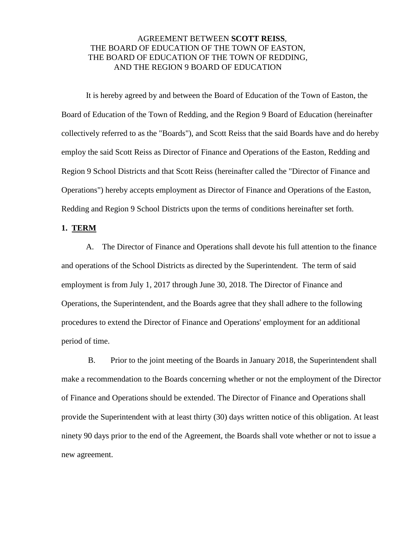## AGREEMENT BETWEEN **SCOTT REISS**, THE BOARD OF EDUCATION OF THE TOWN OF EASTON, THE BOARD OF EDUCATION OF THE TOWN OF REDDING, AND THE REGION 9 BOARD OF EDUCATION

It is hereby agreed by and between the Board of Education of the Town of Easton, the Board of Education of the Town of Redding, and the Region 9 Board of Education (hereinafter collectively referred to as the "Boards"), and Scott Reiss that the said Boards have and do hereby employ the said Scott Reiss as Director of Finance and Operations of the Easton, Redding and Region 9 School Districts and that Scott Reiss (hereinafter called the "Director of Finance and Operations") hereby accepts employment as Director of Finance and Operations of the Easton, Redding and Region 9 School Districts upon the terms of conditions hereinafter set forth.

#### **1. TERM**

 A. The Director of Finance and Operations shall devote his full attention to the finance and operations of the School Districts as directed by the Superintendent. The term of said employment is from July 1, 2017 through June 30, 2018. The Director of Finance and Operations, the Superintendent, and the Boards agree that they shall adhere to the following procedures to extend the Director of Finance and Operations' employment for an additional period of time.

 B. Prior to the joint meeting of the Boards in January 2018, the Superintendent shall make a recommendation to the Boards concerning whether or not the employment of the Director of Finance and Operations should be extended. The Director of Finance and Operations shall provide the Superintendent with at least thirty (30) days written notice of this obligation. At least ninety 90 days prior to the end of the Agreement, the Boards shall vote whether or not to issue a new agreement.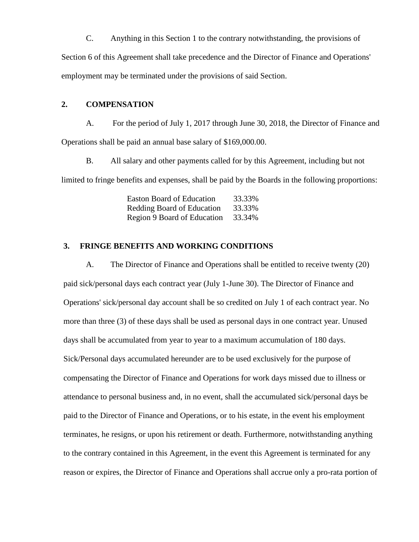C. Anything in this Section 1 to the contrary notwithstanding, the provisions of Section 6 of this Agreement shall take precedence and the Director of Finance and Operations' employment may be terminated under the provisions of said Section.

### **2. COMPENSATION**

 A. For the period of July 1, 2017 through June 30, 2018, the Director of Finance and Operations shall be paid an annual base salary of \$169,000.00.

B. All salary and other payments called for by this Agreement, including but not limited to fringe benefits and expenses, shall be paid by the Boards in the following proportions:

| <b>Easton Board of Education</b> | 33.33% |
|----------------------------------|--------|
| Redding Board of Education       | 33.33% |
| Region 9 Board of Education      | 33.34% |

# **3. FRINGE BENEFITS AND WORKING CONDITIONS**

A. The Director of Finance and Operations shall be entitled to receive twenty (20) paid sick/personal days each contract year (July 1-June 30). The Director of Finance and Operations' sick/personal day account shall be so credited on July 1 of each contract year. No more than three (3) of these days shall be used as personal days in one contract year. Unused days shall be accumulated from year to year to a maximum accumulation of 180 days. Sick/Personal days accumulated hereunder are to be used exclusively for the purpose of compensating the Director of Finance and Operations for work days missed due to illness or attendance to personal business and, in no event, shall the accumulated sick/personal days be paid to the Director of Finance and Operations, or to his estate, in the event his employment terminates, he resigns, or upon his retirement or death. Furthermore, notwithstanding anything to the contrary contained in this Agreement, in the event this Agreement is terminated for any reason or expires, the Director of Finance and Operations shall accrue only a pro-rata portion of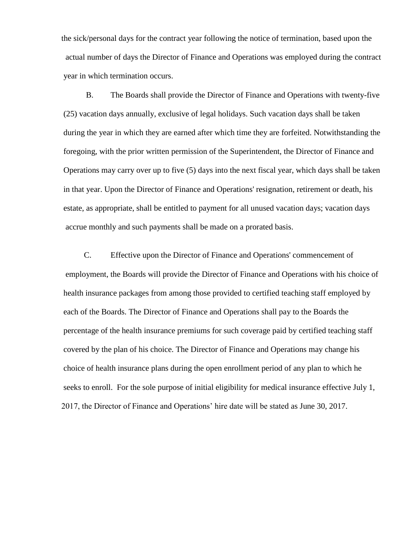the sick/personal days for the contract year following the notice of termination, based upon the actual number of days the Director of Finance and Operations was employed during the contract year in which termination occurs.

B. The Boards shall provide the Director of Finance and Operations with twenty-five (25) vacation days annually, exclusive of legal holidays. Such vacation days shall be taken during the year in which they are earned after which time they are forfeited. Notwithstanding the foregoing, with the prior written permission of the Superintendent, the Director of Finance and Operations may carry over up to five (5) days into the next fiscal year, which days shall be taken in that year. Upon the Director of Finance and Operations' resignation, retirement or death, his estate, as appropriate, shall be entitled to payment for all unused vacation days; vacation days accrue monthly and such payments shall be made on a prorated basis.

 C. Effective upon the Director of Finance and Operations' commencement of employment, the Boards will provide the Director of Finance and Operations with his choice of health insurance packages from among those provided to certified teaching staff employed by each of the Boards. The Director of Finance and Operations shall pay to the Boards the percentage of the health insurance premiums for such coverage paid by certified teaching staff covered by the plan of his choice. The Director of Finance and Operations may change his choice of health insurance plans during the open enrollment period of any plan to which he seeks to enroll. For the sole purpose of initial eligibility for medical insurance effective July 1, 2017, the Director of Finance and Operations' hire date will be stated as June 30, 2017.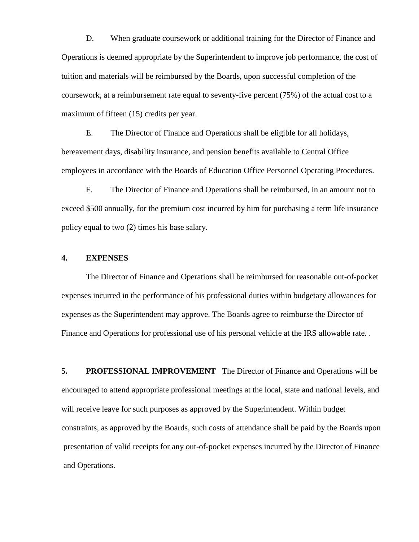D. When graduate coursework or additional training for the Director of Finance and Operations is deemed appropriate by the Superintendent to improve job performance, the cost of tuition and materials will be reimbursed by the Boards, upon successful completion of the coursework, at a reimbursement rate equal to seventy-five percent (75%) of the actual cost to a maximum of fifteen (15) credits per year.

E. The Director of Finance and Operations shall be eligible for all holidays, bereavement days, disability insurance, and pension benefits available to Central Office employees in accordance with the Boards of Education Office Personnel Operating Procedures.

F. The Director of Finance and Operations shall be reimbursed, in an amount not to exceed \$500 annually, for the premium cost incurred by him for purchasing a term life insurance policy equal to two (2) times his base salary.

### **4. EXPENSES**

The Director of Finance and Operations shall be reimbursed for reasonable out-of-pocket expenses incurred in the performance of his professional duties within budgetary allowances for expenses as the Superintendent may approve. The Boards agree to reimburse the Director of Finance and Operations for professional use of his personal vehicle at the IRS allowable rate.

**5. PROFESSIONAL IMPROVEMENT** The Director of Finance and Operations will be encouraged to attend appropriate professional meetings at the local, state and national levels, and will receive leave for such purposes as approved by the Superintendent. Within budget constraints, as approved by the Boards, such costs of attendance shall be paid by the Boards upon presentation of valid receipts for any out-of-pocket expenses incurred by the Director of Finance and Operations.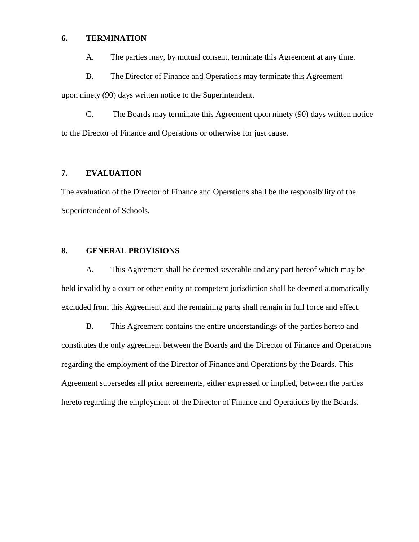#### **6. TERMINATION**

A. The parties may, by mutual consent, terminate this Agreement at any time.

B. The Director of Finance and Operations may terminate this Agreement

upon ninety (90) days written notice to the Superintendent.

C. The Boards may terminate this Agreement upon ninety (90) days written notice to the Director of Finance and Operations or otherwise for just cause.

# **7. EVALUATION**

The evaluation of the Director of Finance and Operations shall be the responsibility of the Superintendent of Schools.

### **8. GENERAL PROVISIONS**

A. This Agreement shall be deemed severable and any part hereof which may be held invalid by a court or other entity of competent jurisdiction shall be deemed automatically excluded from this Agreement and the remaining parts shall remain in full force and effect.

B. This Agreement contains the entire understandings of the parties hereto and constitutes the only agreement between the Boards and the Director of Finance and Operations regarding the employment of the Director of Finance and Operations by the Boards. This Agreement supersedes all prior agreements, either expressed or implied, between the parties hereto regarding the employment of the Director of Finance and Operations by the Boards.